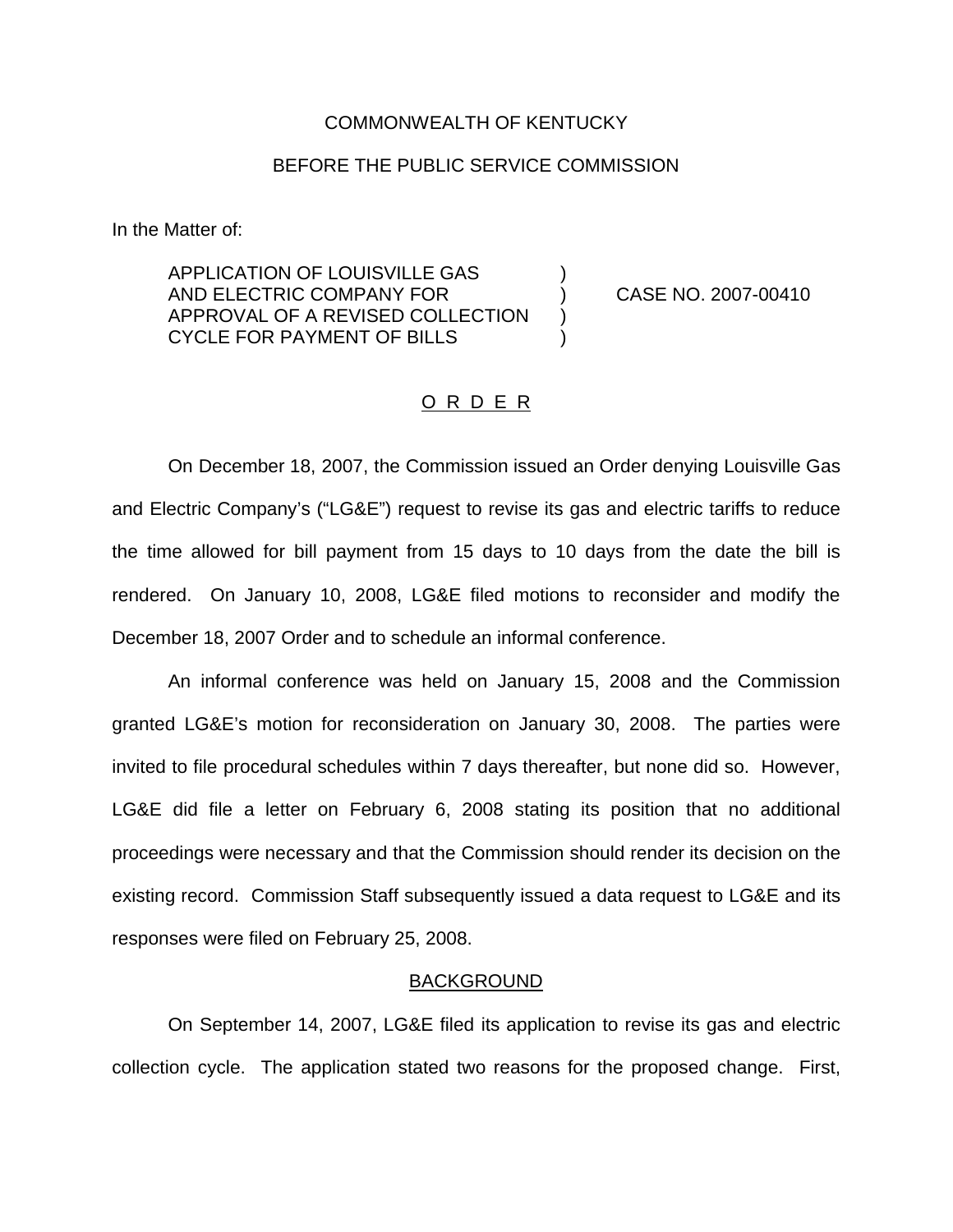### COMMONWEALTH OF KENTUCKY

# BEFORE THE PUBLIC SERVICE COMMISSION

In the Matter of:

APPLICATION OF LOUISVILLE GAS ) AND ELECTRIC COMPANY FOR ) CASE NO. 2007-00410 APPROVAL OF A REVISED COLLECTION CYCLE FOR PAYMENT OF BILLS )

# O R D E R

On December 18, 2007, the Commission issued an Order denying Louisville Gas and Electric Company's ("LG&E") request to revise its gas and electric tariffs to reduce the time allowed for bill payment from 15 days to 10 days from the date the bill is rendered. On January 10, 2008, LG&E filed motions to reconsider and modify the December 18, 2007 Order and to schedule an informal conference.

An informal conference was held on January 15, 2008 and the Commission granted LG&E's motion for reconsideration on January 30, 2008. The parties were invited to file procedural schedules within 7 days thereafter, but none did so. However, LG&E did file a letter on February 6, 2008 stating its position that no additional proceedings were necessary and that the Commission should render its decision on the existing record. Commission Staff subsequently issued a data request to LG&E and its responses were filed on February 25, 2008.

#### **BACKGROUND**

On September 14, 2007, LG&E filed its application to revise its gas and electric collection cycle. The application stated two reasons for the proposed change. First,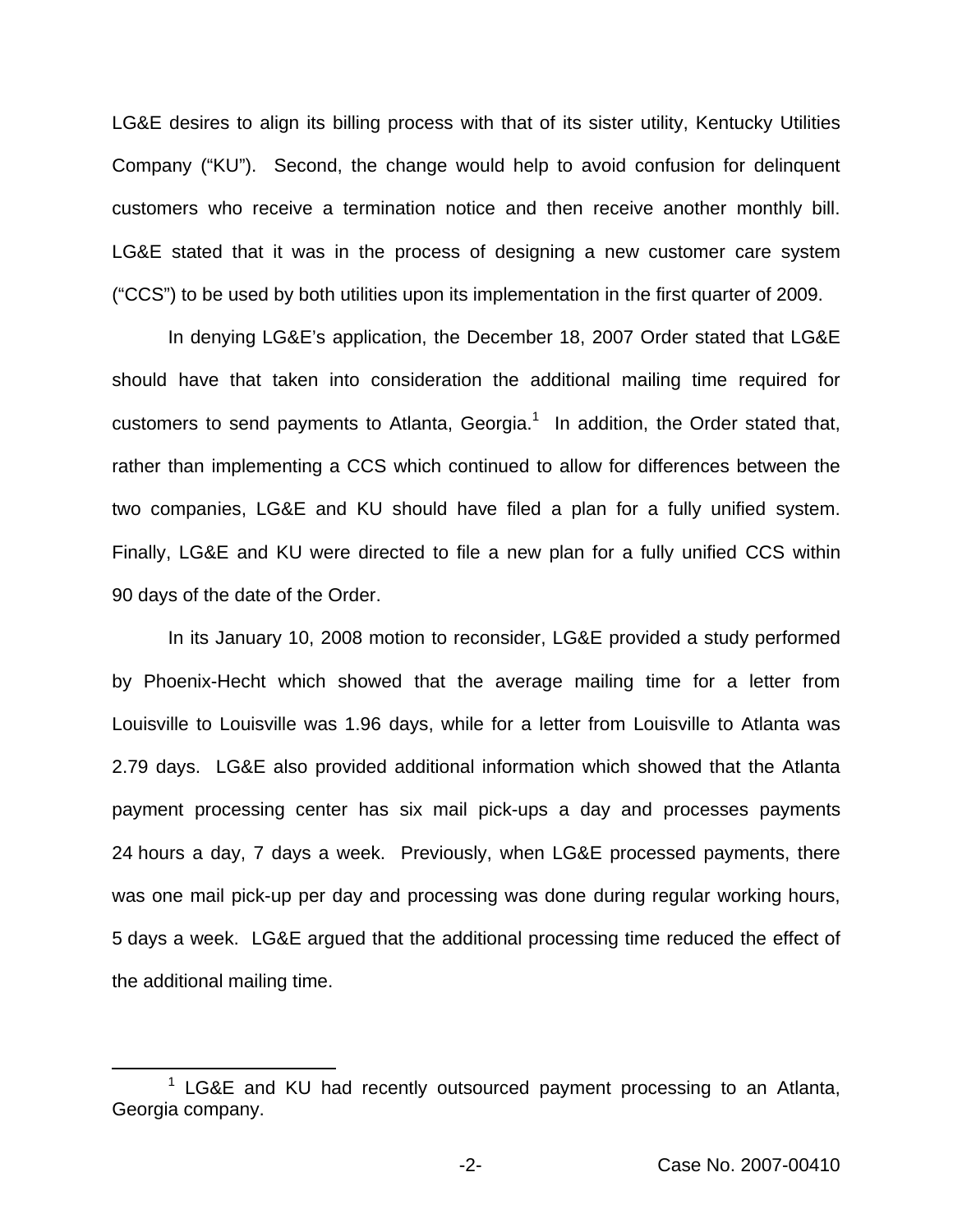LG&E desires to align its billing process with that of its sister utility, Kentucky Utilities Company ("KU"). Second, the change would help to avoid confusion for delinquent customers who receive a termination notice and then receive another monthly bill. LG&E stated that it was in the process of designing a new customer care system ("CCS") to be used by both utilities upon its implementation in the first quarter of 2009.

In denying LG&E's application, the December 18, 2007 Order stated that LG&E should have that taken into consideration the additional mailing time required for customers to send payments to Atlanta, Georgia.<sup>1</sup> In addition, the Order stated that, rather than implementing a CCS which continued to allow for differences between the two companies, LG&E and KU should have filed a plan for a fully unified system. Finally, LG&E and KU were directed to file a new plan for a fully unified CCS within 90 days of the date of the Order.

In its January 10, 2008 motion to reconsider, LG&E provided a study performed by Phoenix-Hecht which showed that the average mailing time for a letter from Louisville to Louisville was 1.96 days, while for a letter from Louisville to Atlanta was 2.79 days. LG&E also provided additional information which showed that the Atlanta payment processing center has six mail pick-ups a day and processes payments 24 hours a day, 7 days a week. Previously, when LG&E processed payments, there was one mail pick-up per day and processing was done during regular working hours, 5 days a week. LG&E argued that the additional processing time reduced the effect of the additional mailing time.

 $1$  LG&E and KU had recently outsourced payment processing to an Atlanta, Georgia company.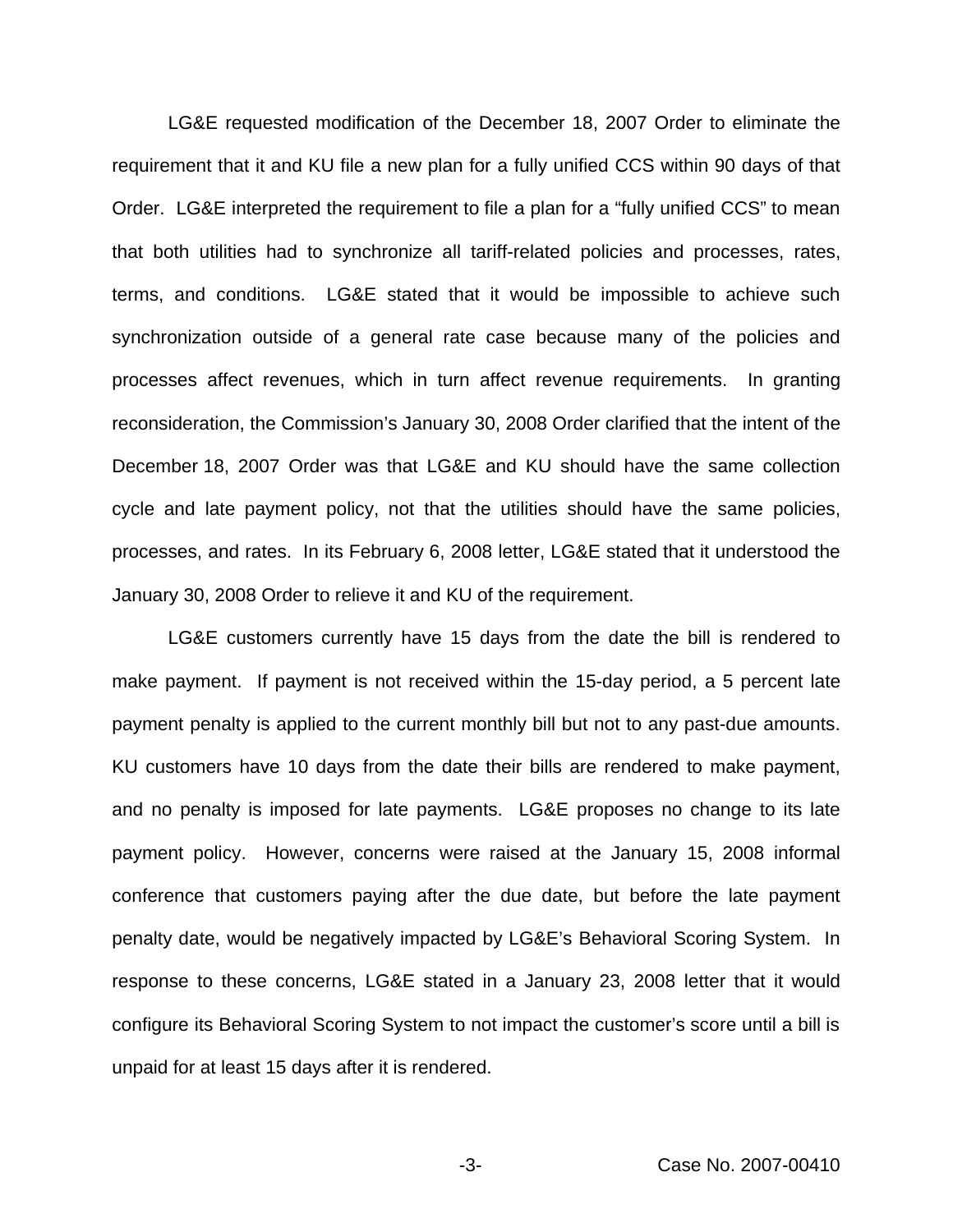LG&E requested modification of the December 18, 2007 Order to eliminate the requirement that it and KU file a new plan for a fully unified CCS within 90 days of that Order. LG&E interpreted the requirement to file a plan for a "fully unified CCS" to mean that both utilities had to synchronize all tariff-related policies and processes, rates, terms, and conditions. LG&E stated that it would be impossible to achieve such synchronization outside of a general rate case because many of the policies and processes affect revenues, which in turn affect revenue requirements. In granting reconsideration, the Commission's January 30, 2008 Order clarified that the intent of the December 18, 2007 Order was that LG&E and KU should have the same collection cycle and late payment policy, not that the utilities should have the same policies, processes, and rates. In its February 6, 2008 letter, LG&E stated that it understood the January 30, 2008 Order to relieve it and KU of the requirement.

LG&E customers currently have 15 days from the date the bill is rendered to make payment. If payment is not received within the 15-day period, a 5 percent late payment penalty is applied to the current monthly bill but not to any past-due amounts. KU customers have 10 days from the date their bills are rendered to make payment, and no penalty is imposed for late payments. LG&E proposes no change to its late payment policy. However, concerns were raised at the January 15, 2008 informal conference that customers paying after the due date, but before the late payment penalty date, would be negatively impacted by LG&E's Behavioral Scoring System. In response to these concerns, LG&E stated in a January 23, 2008 letter that it would configure its Behavioral Scoring System to not impact the customer's score until a bill is unpaid for at least 15 days after it is rendered.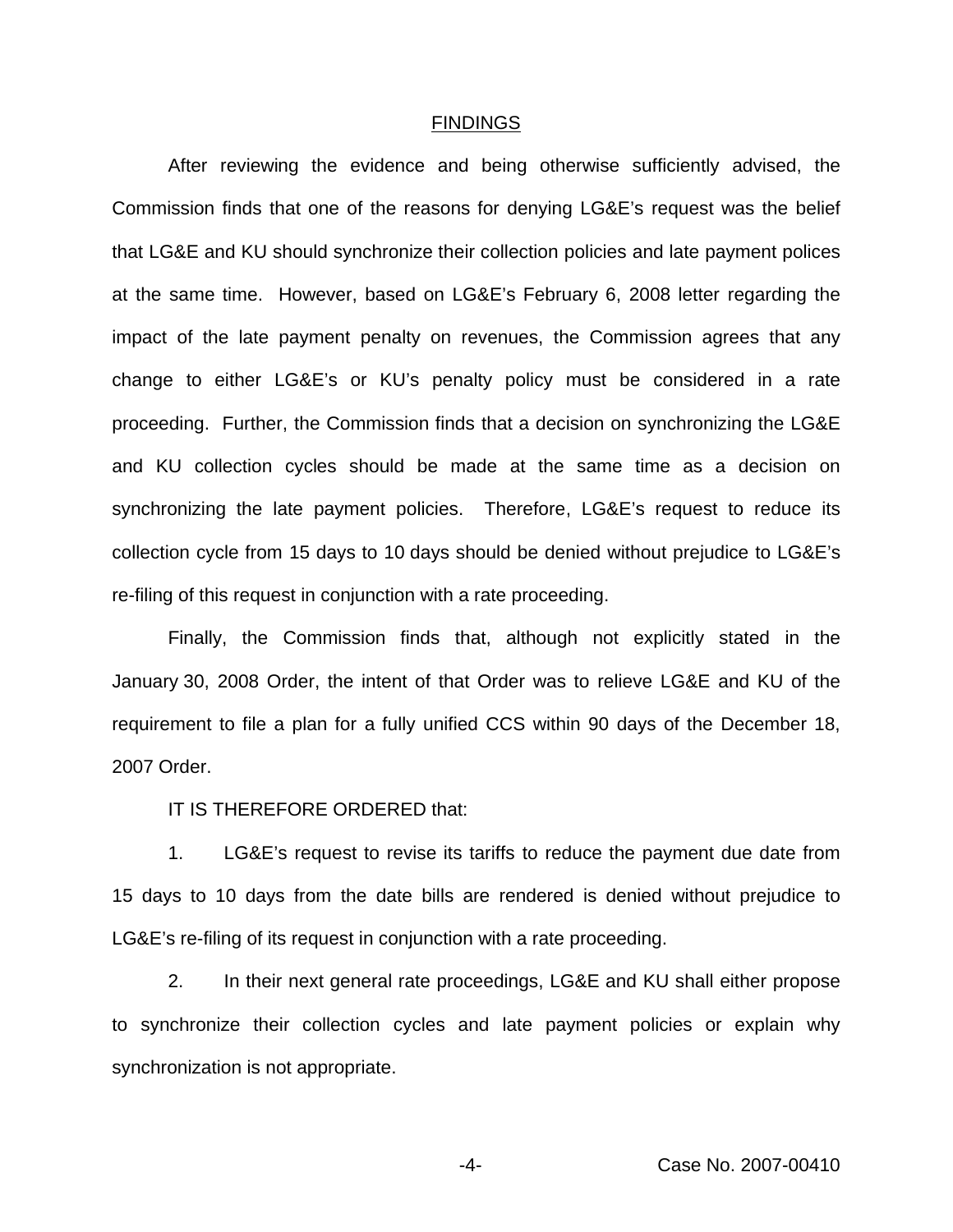#### FINDINGS

After reviewing the evidence and being otherwise sufficiently advised, the Commission finds that one of the reasons for denying LG&E's request was the belief that LG&E and KU should synchronize their collection policies and late payment polices at the same time. However, based on LG&E's February 6, 2008 letter regarding the impact of the late payment penalty on revenues, the Commission agrees that any change to either LG&E's or KU's penalty policy must be considered in a rate proceeding. Further, the Commission finds that a decision on synchronizing the LG&E and KU collection cycles should be made at the same time as a decision on synchronizing the late payment policies. Therefore, LG&E's request to reduce its collection cycle from 15 days to 10 days should be denied without prejudice to LG&E's re-filing of this request in conjunction with a rate proceeding.

Finally, the Commission finds that, although not explicitly stated in the January 30, 2008 Order, the intent of that Order was to relieve LG&E and KU of the requirement to file a plan for a fully unified CCS within 90 days of the December 18, 2007 Order.

IT IS THEREFORE ORDERED that:

1. LG&E's request to revise its tariffs to reduce the payment due date from 15 days to 10 days from the date bills are rendered is denied without prejudice to LG&E's re-filing of its request in conjunction with a rate proceeding.

2. In their next general rate proceedings, LG&E and KU shall either propose to synchronize their collection cycles and late payment policies or explain why synchronization is not appropriate.

-4- Case No. 2007-00410